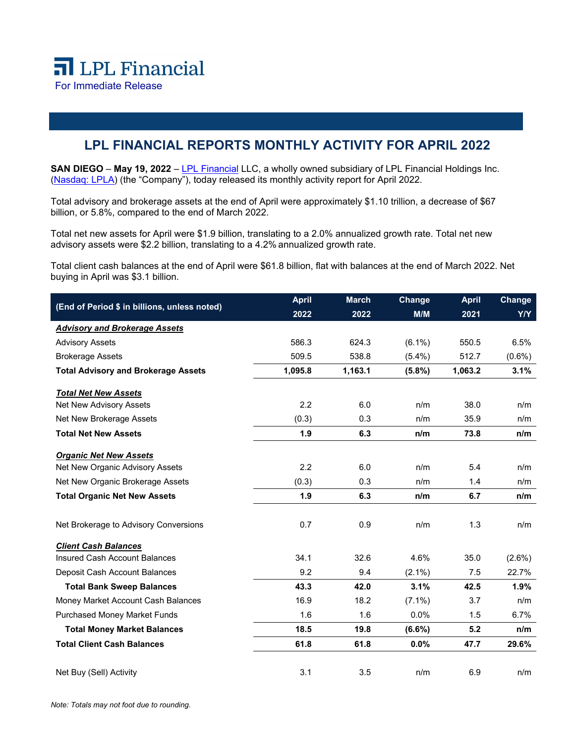## **LPL FINANCIAL REPORTS MONTHLY ACTIVITY FOR APRIL 2022**

**SAN DIEGO** – May 19, 2022 – [LPL Financial](https://www.lpl.com/) LLC, a wholly owned subsidiary of LPL Financial Holdings Inc. [\(Nasdaq: LPLA\)](https://www.nasdaq.com/symbol/lpla) (the "Company"), today released its monthly activity report for April 2022.

Total advisory and brokerage assets at the end of April were approximately \$1.10 trillion, a decrease of \$67 billion, or 5.8%, compared to the end of March 2022.

Total net new assets for April were \$1.9 billion, translating to a 2.0% annualized growth rate. Total net new advisory assets were \$2.2 billion, translating to a 4.2% annualized growth rate.

Total client cash balances at the end of April were \$61.8 billion, flat with balances at the end of March 2022. Net buying in April was \$3.1 billion.

| (End of Period \$ in billions, unless noted) | <b>April</b> | <b>March</b> | Change    | <b>April</b> | Change     |
|----------------------------------------------|--------------|--------------|-----------|--------------|------------|
|                                              | 2022         | 2022         | M/M       | 2021         | <b>Y/Y</b> |
| <b>Advisory and Brokerage Assets</b>         |              |              |           |              |            |
| <b>Advisory Assets</b>                       | 586.3        | 624.3        | $(6.1\%)$ | 550.5        | 6.5%       |
| <b>Brokerage Assets</b>                      | 509.5        | 538.8        | $(5.4\%)$ | 512.7        | $(0.6\%)$  |
| <b>Total Advisory and Brokerage Assets</b>   | 1,095.8      | 1,163.1      | $(5.8\%)$ | 1,063.2      | 3.1%       |
| <b>Total Net New Assets</b>                  |              |              |           |              |            |
| Net New Advisory Assets                      | 2.2          | 6.0          | n/m       | 38.0         | n/m        |
| Net New Brokerage Assets                     | (0.3)        | 0.3          | n/m       | 35.9         | n/m        |
| <b>Total Net New Assets</b>                  | 1.9          | 6.3          | n/m       | 73.8         | n/m        |
| <b>Organic Net New Assets</b>                |              |              |           |              |            |
| Net New Organic Advisory Assets              | 2.2          | 6.0          | n/m       | 5.4          | n/m        |
| Net New Organic Brokerage Assets             | (0.3)        | 0.3          | n/m       | 1.4          | n/m        |
| <b>Total Organic Net New Assets</b>          | 1.9          | 6.3          | n/m       | 6.7          | n/m        |
| Net Brokerage to Advisory Conversions        | 0.7          | 0.9          | n/m       | 1.3          | n/m        |
| <b>Client Cash Balances</b>                  |              |              |           |              |            |
| <b>Insured Cash Account Balances</b>         | 34.1         | 32.6         | 4.6%      | 35.0         | $(2.6\%)$  |
| Deposit Cash Account Balances                | 9.2          | 9.4          | $(2.1\%)$ | 7.5          | 22.7%      |
| <b>Total Bank Sweep Balances</b>             | 43.3         | 42.0         | 3.1%      | 42.5         | 1.9%       |
| Money Market Account Cash Balances           | 16.9         | 18.2         | $(7.1\%)$ | 3.7          | n/m        |
| <b>Purchased Money Market Funds</b>          | 1.6          | 1.6          | $0.0\%$   | 1.5          | 6.7%       |
| <b>Total Money Market Balances</b>           | 18.5         | 19.8         | $(6.6\%)$ | 5.2          | n/m        |
| <b>Total Client Cash Balances</b>            | 61.8         | 61.8         | 0.0%      | 47.7         | 29.6%      |
| Net Buy (Sell) Activity                      | 3.1          | 3.5          | n/m       | 6.9          | n/m        |